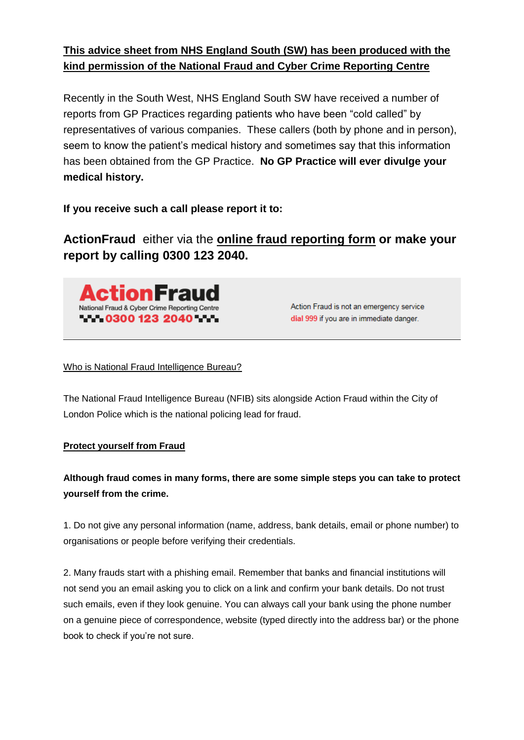## **This advice sheet from NHS England South (SW) has been produced with the kind permission of the National Fraud and Cyber Crime Reporting Centre**

Recently in the South West, NHS England South SW have received a number of reports from GP Practices regarding patients who have been "cold called" by representatives of various companies. These callers (both by phone and in person), seem to know the patient's medical history and sometimes say that this information has been obtained from the GP Practice. **No GP Practice will ever divulge your medical history.** 

**If you receive such a call please report it to:**

**ActionFraud** either via the **[online fraud reporting form](https://reportlite.actionfraud.police.uk/) or make your report by calling 0300 123 2040.**



Action Fraud is not an emergency service dial 999 if you are in immediate danger.

## [Who is National Fraud Intelligence Bureau?](http://www.actionfraud.police.uk/about-us/who-is-national-fraud-intelligence-bureau)

The National Fraud Intelligence Bureau (NFIB) sits alongside Action Fraud within the City of London Police which is the national policing lead for fraud.

## **Protect yourself from Fraud**

**Although fraud comes in many forms, there are some simple steps you can take to protect yourself from the crime.**

1. Do not give any personal information (name, address, bank details, email or phone number) to organisations or people before verifying their credentials.

2. Many frauds start with a phishing email. Remember that banks and financial institutions will not send you an email asking you to click on a link and confirm your bank details. Do not trust such emails, even if they look genuine. You can always call your bank using the phone number on a genuine piece of correspondence, website (typed directly into the address bar) or the phone book to check if you're not sure.